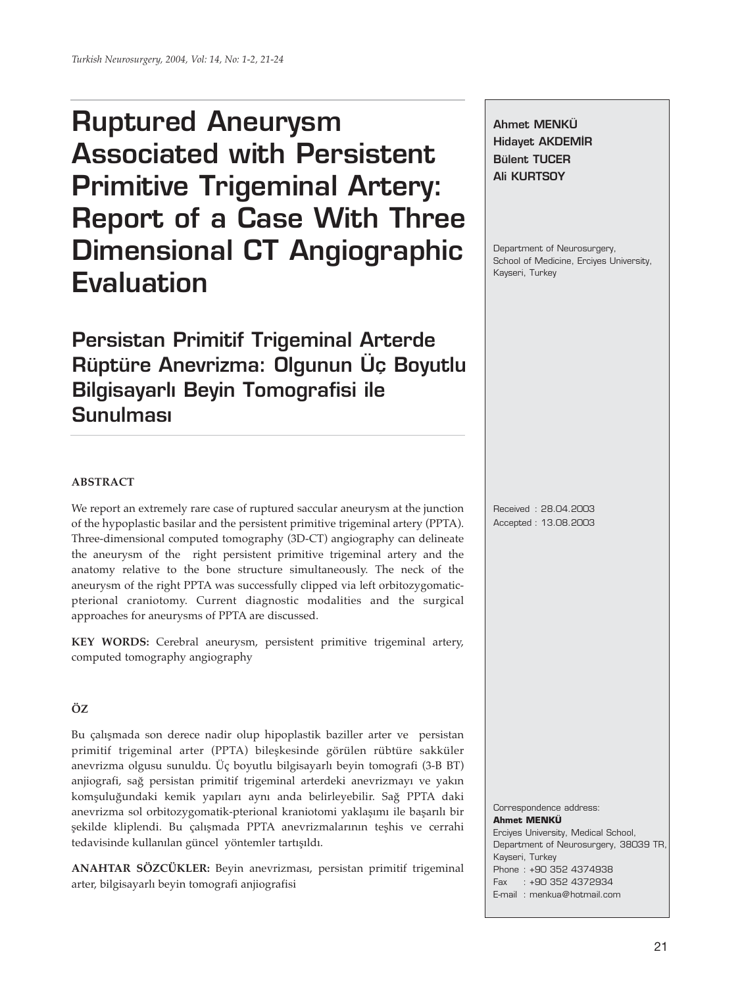# **Ruptured Aneurysm Associated with Persistent Primitive Trigeminal Artery: Report of a Case With Three Dimensional CT Angiographic Evaluation**

**Persistan Primitif Trigeminal Arterde Rüptüre Anevrizma: Olgunun Üç Boyutlu Bilgisayarlı Beyin Tomografisi ile Sunulmas›**

**Ahmet MENKÜ Hidavet AKDEMİR Bülent TUCER Ali KURTSOY**

Department of Neurosurgery, School of Medicine, Erciyes University, Kayseri, Turkey

# **ABSTRACT**

We report an extremely rare case of ruptured saccular aneurysm at the junction of the hypoplastic basilar and the persistent primitive trigeminal artery (PPTA). Three-dimensional computed tomography (3D-CT) angiography can delineate the aneurysm of the right persistent primitive trigeminal artery and the anatomy relative to the bone structure simultaneously. The neck of the aneurysm of the right PPTA was successfully clipped via left orbitozygomaticpterional craniotomy. Current diagnostic modalities and the surgical approaches for aneurysms of PPTA are discussed.

**KEY WORDS:** Cerebral aneurysm, persistent primitive trigeminal artery, computed tomography angiography

# **ÖZ**

Bu çalışmada son derece nadir olup hipoplastik baziller arter ve persistan primitif trigeminal arter (PPTA) bileşkesinde görülen rübtüre sakküler anevrizma olgusu sunuldu. Üç boyutlu bilgisayarlı beyin tomografi (3-B BT) anjiografi, sağ persistan primitif trigeminal arterdeki anevrizmayı ve yakın komşuluğundaki kemik yapıları aynı anda belirleyebilir. Sağ PPTA daki anevrizma sol orbitozygomatik-pterional kraniotomi yaklaşımı ile başarılı bir şekilde kliplendi. Bu çalışmada PPTA anevrizmalarının teşhis ve cerrahi tedavisinde kullanılan güncel yöntemler tartışıldı.

**ANAHTAR SÖZCÜKLER:** Beyin anevrizması, persistan primitif trigeminal arter, bilgisayarlı beyin tomografi anjiografisi

Received : 28.04.2003 Accepted : 13.08.2003

**Ahmet MENKÜ** Erciyes University, Medical School, Department of Neurosurgery, 38039 TR, Kayseri, Turkey Phone : +90 352 4374938 Fax : +90 352 4372934 E-mail : menkua@hotmail.com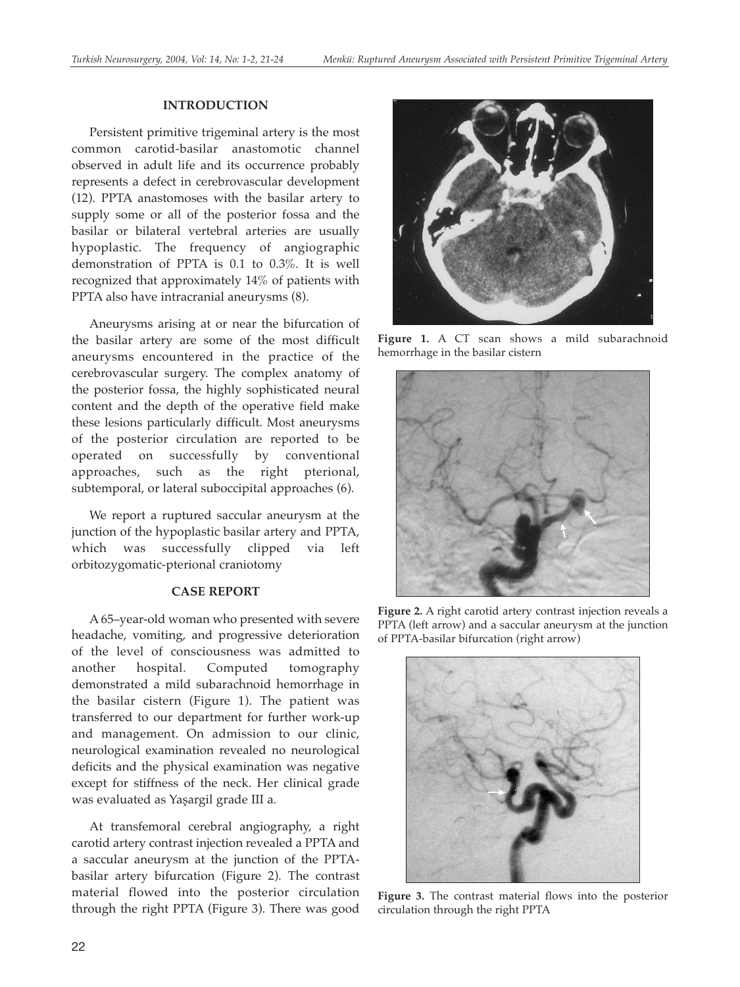## **INTRODUCTION**

Persistent primitive trigeminal artery is the most common carotid-basilar anastomotic channel observed in adult life and its occurrence probably represents a defect in cerebrovascular development (12). PPTA anastomoses with the basilar artery to supply some or all of the posterior fossa and the basilar or bilateral vertebral arteries are usually hypoplastic. The frequency of angiographic demonstration of PPTA is 0.1 to 0.3%. It is well recognized that approximately 14% of patients with PPTA also have intracranial aneurysms (8).

Aneurysms arising at or near the bifurcation of the basilar artery are some of the most difficult aneurysms encountered in the practice of the cerebrovascular surgery. The complex anatomy of the posterior fossa, the highly sophisticated neural content and the depth of the operative field make these lesions particularly difficult. Most aneurysms of the posterior circulation are reported to be operated on successfully by conventional approaches, such as the right pterional, subtemporal, or lateral suboccipital approaches (6).

We report a ruptured saccular aneurysm at the junction of the hypoplastic basilar artery and PPTA, which was successfully clipped via left orbitozygomatic-pterional craniotomy

### **CASE REPORT**

A 65–year-old woman who presented with severe headache, vomiting, and progressive deterioration of the level of consciousness was admitted to another hospital. Computed tomography demonstrated a mild subarachnoid hemorrhage in the basilar cistern (Figure 1). The patient was transferred to our department for further work-up and management. On admission to our clinic, neurological examination revealed no neurological deficits and the physical examination was negative except for stiffness of the neck. Her clinical grade was evaluated as Yaşargil grade III a.

At transfemoral cerebral angiography, a right carotid artery contrast injection revealed a PPTA and a saccular aneurysm at the junction of the PPTAbasilar artery bifurcation (Figure 2). The contrast material flowed into the posterior circulation through the right PPTA (Figure 3). There was good



**Figure 1.** A CT scan shows a mild subarachnoid hemorrhage in the basilar cistern



**Figure 2.** A right carotid artery contrast injection reveals a PPTA (left arrow) and a saccular aneurysm at the junction of PPTA-basilar bifurcation (right arrow)



**Figure 3.** The contrast material flows into the posterior circulation through the right PPTA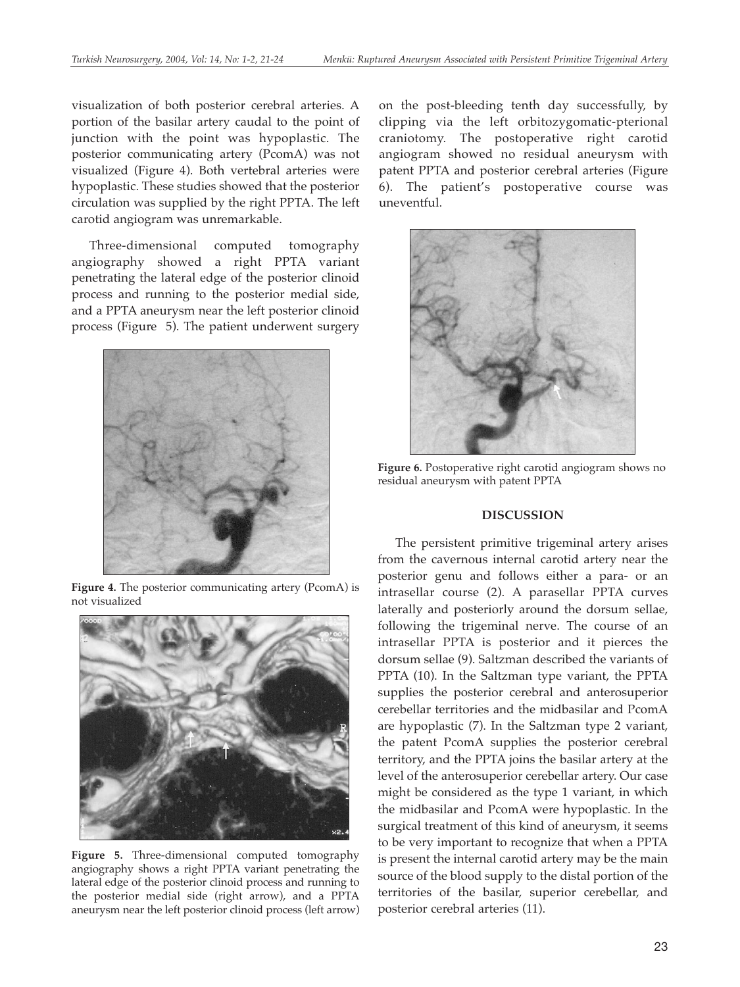visualization of both posterior cerebral arteries. A portion of the basilar artery caudal to the point of junction with the point was hypoplastic. The posterior communicating artery (PcomA) was not visualized (Figure 4). Both vertebral arteries were hypoplastic. These studies showed that the posterior circulation was supplied by the right PPTA. The left carotid angiogram was unremarkable.

Three-dimensional computed tomography angiography showed a right PPTA variant penetrating the lateral edge of the posterior clinoid process and running to the posterior medial side, and a PPTA aneurysm near the left posterior clinoid process (Figure 5). The patient underwent surgery



**Figure 4.** The posterior communicating artery (PcomA) is not visualized



**Figure 5.** Three-dimensional computed tomography angiography shows a right PPTA variant penetrating the lateral edge of the posterior clinoid process and running to the posterior medial side (right arrow), and a PPTA aneurysm near the left posterior clinoid process (left arrow)

on the post-bleeding tenth day successfully, by clipping via the left orbitozygomatic-pterional craniotomy. The postoperative right carotid angiogram showed no residual aneurysm with patent PPTA and posterior cerebral arteries (Figure 6). The patient's postoperative course was uneventful.



**Figure 6.** Postoperative right carotid angiogram shows no residual aneurysm with patent PPTA

#### **DISCUSSION**

The persistent primitive trigeminal artery arises from the cavernous internal carotid artery near the posterior genu and follows either a para- or an intrasellar course (2). A parasellar PPTA curves laterally and posteriorly around the dorsum sellae, following the trigeminal nerve. The course of an intrasellar PPTA is posterior and it pierces the dorsum sellae (9). Saltzman described the variants of PPTA (10). In the Saltzman type variant, the PPTA supplies the posterior cerebral and anterosuperior cerebellar territories and the midbasilar and PcomA are hypoplastic (7). In the Saltzman type 2 variant, the patent PcomA supplies the posterior cerebral territory, and the PPTA joins the basilar artery at the level of the anterosuperior cerebellar artery. Our case might be considered as the type 1 variant, in which the midbasilar and PcomA were hypoplastic. In the surgical treatment of this kind of aneurysm, it seems to be very important to recognize that when a PPTA is present the internal carotid artery may be the main source of the blood supply to the distal portion of the territories of the basilar, superior cerebellar, and posterior cerebral arteries (11).